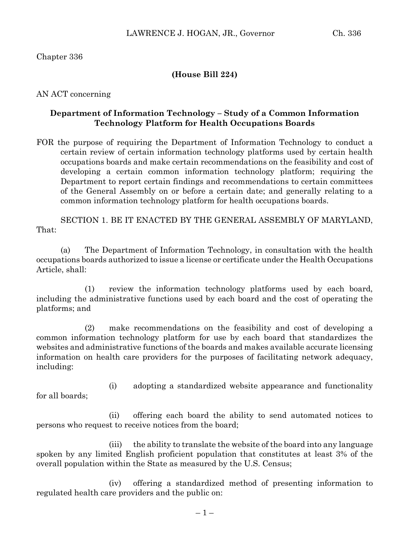## Chapter 336

#### **(House Bill 224)**

AN ACT concerning

## **Department of Information Technology – Study of a Common Information Technology Platform for Health Occupations Boards**

FOR the purpose of requiring the Department of Information Technology to conduct a certain review of certain information technology platforms used by certain health occupations boards and make certain recommendations on the feasibility and cost of developing a certain common information technology platform; requiring the Department to report certain findings and recommendations to certain committees of the General Assembly on or before a certain date; and generally relating to a common information technology platform for health occupations boards.

SECTION 1. BE IT ENACTED BY THE GENERAL ASSEMBLY OF MARYLAND, That:

(a) The Department of Information Technology, in consultation with the health occupations boards authorized to issue a license or certificate under the Health Occupations Article, shall:

(1) review the information technology platforms used by each board, including the administrative functions used by each board and the cost of operating the platforms; and

(2) make recommendations on the feasibility and cost of developing a common information technology platform for use by each board that standardizes the websites and administrative functions of the boards and makes available accurate licensing information on health care providers for the purposes of facilitating network adequacy, including:

(i) adopting a standardized website appearance and functionality

for all boards;

(ii) offering each board the ability to send automated notices to persons who request to receive notices from the board;

(iii) the ability to translate the website of the board into any language spoken by any limited English proficient population that constitutes at least 3% of the overall population within the State as measured by the U.S. Census;

(iv) offering a standardized method of presenting information to regulated health care providers and the public on: